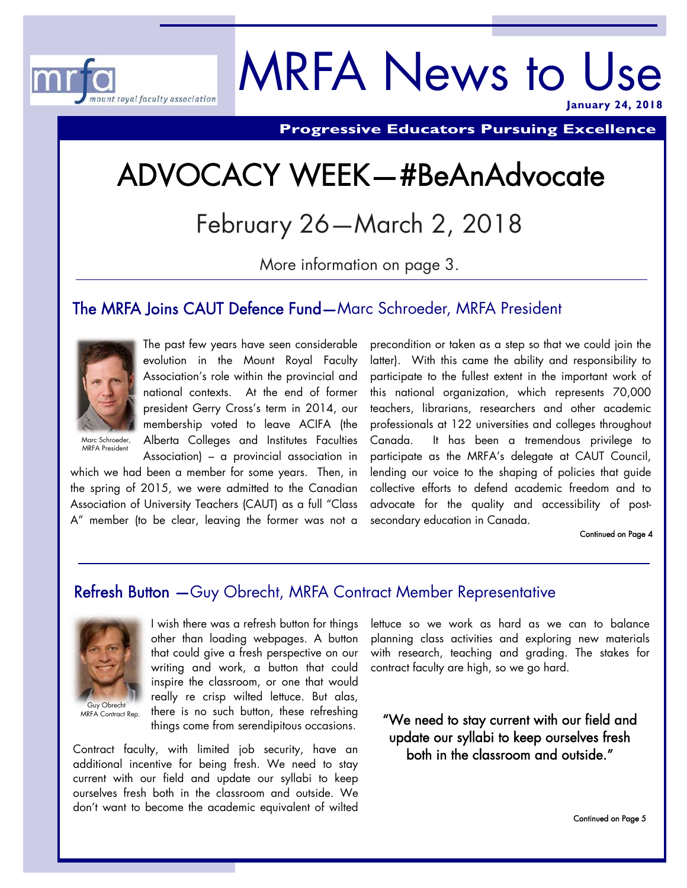

# MRFA News to Use **January 24, 2018**

**Progressive Educators Pursuing Excellence** 

# ADVOCACY WEEK—#BeAnAdvocate

February 26—March 2, 2018

More information on page 3.

## The MRFA Joins CAUT Defence Fund—Marc Schroeder, MRFA President



The past few years have seen considerable evolution in the Mount Royal Faculty Association's role within the provincial and national contexts. At the end of former president Gerry Cross's term in 2014, our membership voted to leave ACIFA (the Alberta Colleges and Institutes Faculties

Marc Schroeder, MRFA President

Association) – a provincial association in which we had been a member for some years. Then, in the spring of 2015, we were admitted to the Canadian Association of University Teachers (CAUT) as a full "Class A" member (to be clear, leaving the former was not a

precondition or taken as a step so that we could join the latter). With this came the ability and responsibility to participate to the fullest extent in the important work of this national organization, which represents 70,000 teachers, librarians, researchers and other academic professionals at 122 universities and colleges throughout Canada. It has been a tremendous privilege to participate as the MRFA's delegate at CAUT Council, lending our voice to the shaping of policies that guide collective efforts to defend academic freedom and to advocate for the quality and accessibility of postsecondary education in Canada.

#### Continued on Page 4

## Refresh Button —Guy Obrecht, MRFA Contract Member Representative



Guy Obrecht MRFA Contract Rep.

I wish there was a refresh button for things other than loading webpages. A button that could give a fresh perspective on our writing and work, a button that could inspire the classroom, or one that would really re crisp wilted lettuce. But alas, there is no such button, these refreshing things come from serendipitous occasions.

Contract faculty, with limited job security, have an additional incentive for being fresh. We need to stay current with our field and update our syllabi to keep ourselves fresh both in the classroom and outside. We don't want to become the academic equivalent of wilted lettuce so we work as hard as we can to balance planning class activities and exploring new materials with research, teaching and grading. The stakes for contract faculty are high, so we go hard.

"We need to stay current with our field and update our syllabi to keep ourselves fresh both in the classroom and outside."

Continued on Page 5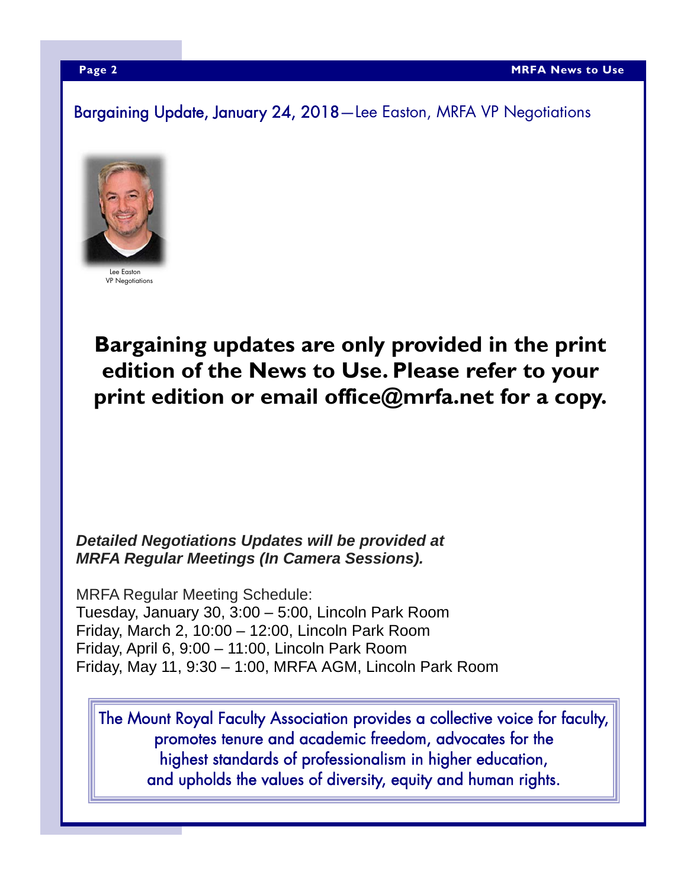Bargaining Update, January 24, 2018—Lee Easton, MRFA VP Negotiations



Lee Easton VP Negotiations

# **Bargaining updates are only provided in the print edition of the News to Use. Please refer to your print edition or email office@mrfa.net for a copy.**

## *Detailed Negotiations Updates will be provided at MRFA Regular Meetings (In Camera Sessions).*

MRFA Regular Meeting Schedule: Tuesday, January 30, 3:00 – 5:00, Lincoln Park Room Friday, March 2, 10:00 – 12:00, Lincoln Park Room Friday, April 6, 9:00 – 11:00, Lincoln Park Room Friday, May 11, 9:30 – 1:00, MRFA AGM, Lincoln Park Room

The Mount Royal Faculty Association provides a collective voice for faculty, promotes tenure and academic freedom, advocates for the highest standards of professionalism in higher education, and upholds the values of diversity, equity and human rights.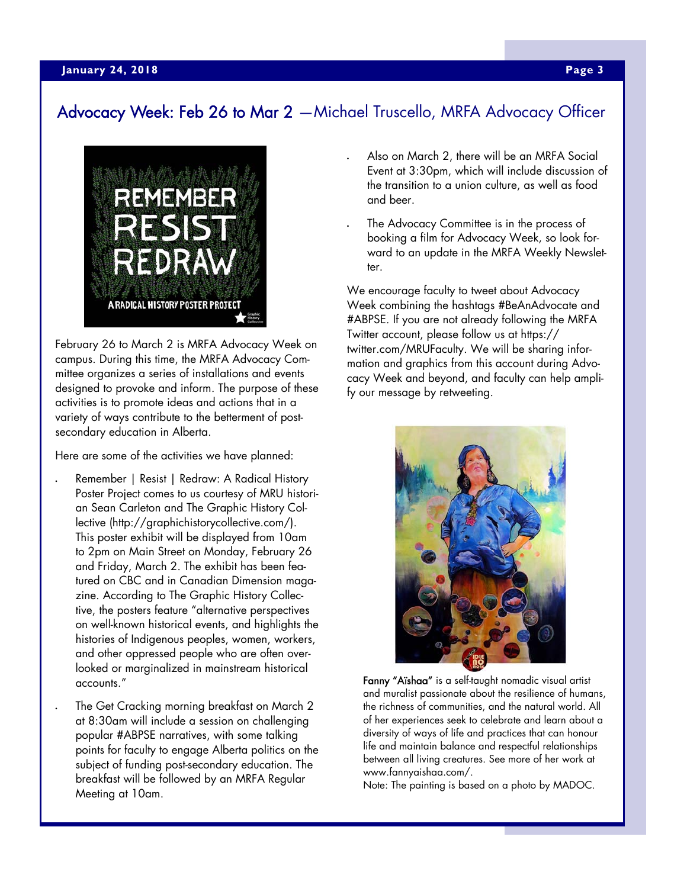# Advocacy Week: Feb 26 to Mar 2 —Michael Truscello, MRFA Advocacy Officer



February 26 to March 2 is MRFA Advocacy Week on campus. During this time, the MRFA Advocacy Committee organizes a series of installations and events designed to provoke and inform. The purpose of these activities is to promote ideas and actions that in a variety of ways contribute to the betterment of postsecondary education in Alberta.

Here are some of the activities we have planned:

- Remember | Resist | Redraw: A Radical History Poster Project comes to us courtesy of MRU historian Sean Carleton and The Graphic History Collective (http://graphichistorycollective.com/). This poster exhibit will be displayed from 10am to 2pm on Main Street on Monday, February 26 and Friday, March 2. The exhibit has been featured on CBC and in Canadian Dimension magazine. According to The Graphic History Collective, the posters feature "alternative perspectives on well-known historical events, and highlights the histories of Indigenous peoples, women, workers, and other oppressed people who are often overlooked or marginalized in mainstream historical accounts."
	- The Get Cracking morning breakfast on March 2 at 8:30am will include a session on challenging popular #ABPSE narratives, with some talking points for faculty to engage Alberta politics on the subject of funding post-secondary education. The breakfast will be followed by an MRFA Regular Meeting at 10am.
- Also on March 2, there will be an MRFA Social Event at 3:30pm, which will include discussion of the transition to a union culture, as well as food and beer.
- The Advocacy Committee is in the process of booking a film for Advocacy Week, so look forward to an update in the MRFA Weekly Newsletter.

We encourage faculty to tweet about Advocacy Week combining the hashtags #BeAnAdvocate and #ABPSE. If you are not already following the MRFA Twitter account, please follow us at https:// twitter.com/MRUFaculty. We will be sharing information and graphics from this account during Advocacy Week and beyond, and faculty can help amplify our message by retweeting.



Fanny "Aïshaa" is a self-taught nomadic visual artist and muralist passionate about the resilience of humans, the richness of communities, and the natural world. All of her experiences seek to celebrate and learn about a diversity of ways of life and practices that can honour life and maintain balance and respectful relationships between all living creatures. See more of her work at www.fannyaishaa.com/.

Note: The painting is based on a photo by MADOC.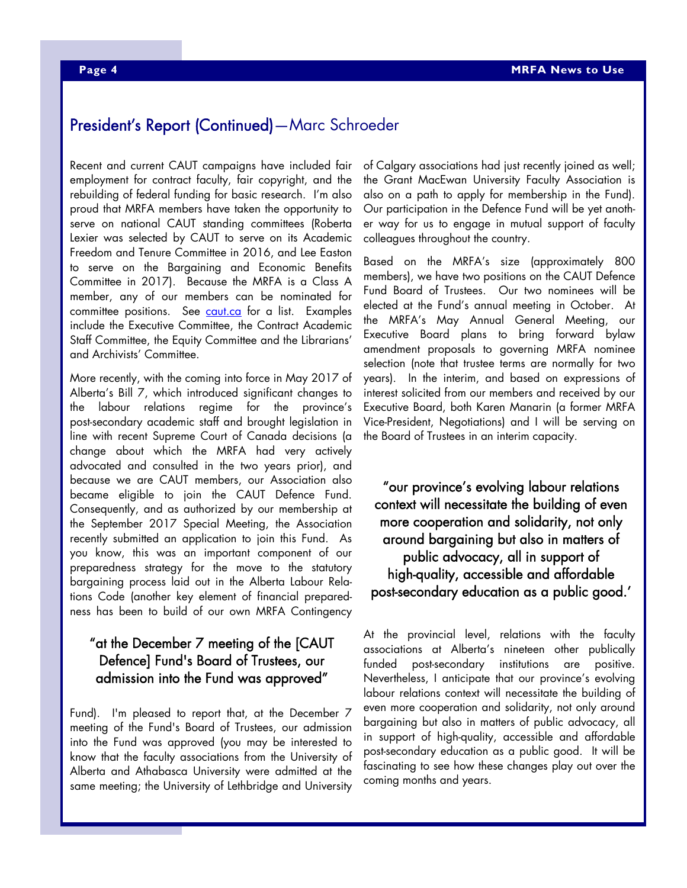# President's Report (Continued)—Marc Schroeder

Recent and current CAUT campaigns have included fair employment for contract faculty, fair copyright, and the rebuilding of federal funding for basic research. I'm also proud that MRFA members have taken the opportunity to serve on national CAUT standing committees (Roberta Lexier was selected by CAUT to serve on its Academic Freedom and Tenure Committee in 2016, and Lee Easton to serve on the Bargaining and Economic Benefits Committee in 2017). Because the MRFA is a Class A member, any of our members can be nominated for committee positions. See caut.ca for a list. Examples include the Executive Committee, the Contract Academic Staff Committee, the Equity Committee and the Librarians' and Archivists' Committee.

More recently, with the coming into force in May 2017 of Alberta's Bill 7, which introduced significant changes to the labour relations regime for the province's post-secondary academic staff and brought legislation in line with recent Supreme Court of Canada decisions (a change about which the MRFA had very actively advocated and consulted in the two years prior), and because we are CAUT members, our Association also became eligible to join the CAUT Defence Fund. Consequently, and as authorized by our membership at the September 2017 Special Meeting, the Association recently submitted an application to join this Fund. As you know, this was an important component of our preparedness strategy for the move to the statutory bargaining process laid out in the Alberta Labour Relations Code (another key element of financial preparedness has been to build of our own MRFA Contingency

#### "at the December 7 meeting of the [CAUT Defence] Fund's Board of Trustees, our admission into the Fund was approved"

Fund). I'm pleased to report that, at the December 7 meeting of the Fund's Board of Trustees, our admission into the Fund was approved (you may be interested to know that the faculty associations from the University of Alberta and Athabasca University were admitted at the same meeting; the University of Lethbridge and University

of Calgary associations had just recently joined as well; the Grant MacEwan University Faculty Association is also on a path to apply for membership in the Fund). Our participation in the Defence Fund will be yet another way for us to engage in mutual support of faculty colleagues throughout the country.

Based on the MRFA's size (approximately 800 members), we have two positions on the CAUT Defence Fund Board of Trustees. Our two nominees will be elected at the Fund's annual meeting in October. At the MRFA's May Annual General Meeting, our Executive Board plans to bring forward bylaw amendment proposals to governing MRFA nominee selection (note that trustee terms are normally for two years). In the interim, and based on expressions of interest solicited from our members and received by our Executive Board, both Karen Manarin (a former MRFA Vice-President, Negotiations) and I will be serving on the Board of Trustees in an interim capacity.

"our province's evolving labour relations context will necessitate the building of even more cooperation and solidarity, not only around bargaining but also in matters of public advocacy, all in support of high-quality, accessible and affordable post-secondary education as a public good.'

At the provincial level, relations with the faculty associations at Alberta's nineteen other publically funded post-secondary institutions are positive. Nevertheless, I anticipate that our province's evolving labour relations context will necessitate the building of even more cooperation and solidarity, not only around bargaining but also in matters of public advocacy, all in support of high-quality, accessible and affordable post-secondary education as a public good. It will be fascinating to see how these changes play out over the coming months and years.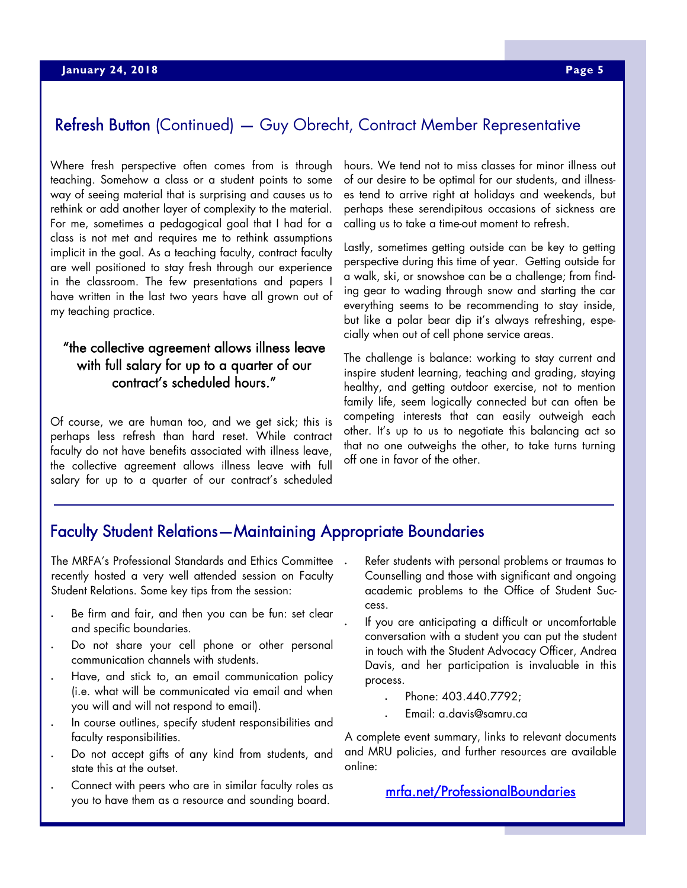# Refresh Button (Continued) — Guy Obrecht, Contract Member Representative

Where fresh perspective often comes from is through teaching. Somehow a class or a student points to some way of seeing material that is surprising and causes us to rethink or add another layer of complexity to the material. For me, sometimes a pedagogical goal that I had for a class is not met and requires me to rethink assumptions implicit in the goal. As a teaching faculty, contract faculty are well positioned to stay fresh through our experience in the classroom. The few presentations and papers I have written in the last two years have all grown out of my teaching practice.

### "the collective agreement allows illness leave with full salary for up to a quarter of our contract's scheduled hours."

Of course, we are human too, and we get sick; this is perhaps less refresh than hard reset. While contract faculty do not have benefits associated with illness leave, the collective agreement allows illness leave with full salary for up to a quarter of our contract's scheduled hours. We tend not to miss classes for minor illness out of our desire to be optimal for our students, and illnesses tend to arrive right at holidays and weekends, but perhaps these serendipitous occasions of sickness are calling us to take a time-out moment to refresh.

Lastly, sometimes getting outside can be key to getting perspective during this time of year. Getting outside for a walk, ski, or snowshoe can be a challenge; from finding gear to wading through snow and starting the car everything seems to be recommending to stay inside, but like a polar bear dip it's always refreshing, especially when out of cell phone service areas.

The challenge is balance: working to stay current and inspire student learning, teaching and grading, staying healthy, and getting outdoor exercise, not to mention family life, seem logically connected but can often be competing interests that can easily outweigh each other. It's up to us to negotiate this balancing act so that no one outweighs the other, to take turns turning off one in favor of the other.

# Faculty Student Relations—Maintaining Appropriate Boundaries

The MRFA's Professional Standards and Ethics Committee . recently hosted a very well attended session on Faculty Student Relations. Some key tips from the session:

- Be firm and fair, and then you can be fun: set clear and specific boundaries.
- Do not share your cell phone or other personal communication channels with students.
- Have, and stick to, an email communication policy (i.e. what will be communicated via email and when you will and will not respond to email).
- In course outlines, specify student responsibilities and faculty responsibilities.
- Do not accept gifts of any kind from students, and state this at the outset.
- Connect with peers who are in similar faculty roles as you to have them as a resource and sounding board.
- Refer students with personal problems or traumas to Counselling and those with significant and ongoing academic problems to the Office of Student Success.
- If you are anticipating a difficult or uncomfortable conversation with a student you can put the student in touch with the Student Advocacy Officer, Andrea Davis, and her participation is invaluable in this process.
	- Phone: 403.440.7792;
	- Email: a.davis@samru.ca

A complete event summary, links to relevant documents and MRU policies, and further resources are available online:

#### mrfa.net/ProfessionalBoundaries